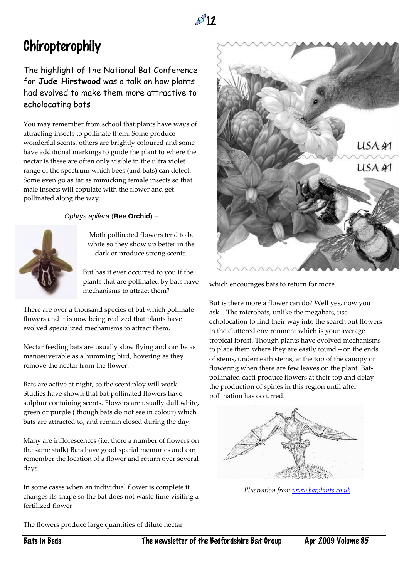

## Chiropterophily

## The highlight of the National Bat Conference for **Jude Hirstwood** was a talk on how plants had evolved to make them more attractive to echolocating bats

You may remember from school that plants have ways of attracting insects to pollinate them. Some produce wonderful scents, others are brightly coloured and some have additional markings to guide the plant to where the nectar is these are often only visible in the ultra violet range of the spectrum which bees (and bats) can detect. Some even go as far as mimicking female insects so that male insects will copulate with the flower and get pollinated along the way.

## *Ophrys apifera* (**Bee Orchid**) –



Moth pollinated flowers tend to be white so they show up better in the dark or produce strong scents.

But has it ever occurred to you if the plants that are pollinated by bats have mechanisms to attract them?

There are over a thousand species of bat which pollinate flowers and it is now being realized that plants have evolved specialized mechanisms to attract them.

Nectar feeding bats are usually slow flying and can be as manoeuverable as a humming bird, hovering as they remove the nectar from the flower.

Bats are active at night, so the scent ploy will work. Studies have shown that bat pollinated flowers have sulphur containing scents. Flowers are usually dull white, green or purple ( though bats do not see in colour) which bats are attracted to, and remain closed during the day.

Many are inflorescences (i.e. there a number of flowers on the same stalk) Bats have good spatial memories and can remember the location of a flower and return over several days.

In some cases when an individual flower is complete it changes its shape so the bat does not waste time visiting a fertilized flower

The flowers produce large quantities of dilute nectar



which encourages bats to return for more.

But is there more a flower can do? Well yes, now you ask... The microbats, unlike the megabats, use echolocation to find their way into the search out flowers in the cluttered environment which is your average tropical forest. Though plants have evolved mechanisms to place them where they are easily found – on the ends of stems, underneath stems, at the top of the canopy or flowering when there are few leaves on the plant. Batpollinated cacti produce flowers at their top and delay the production of spines in this region until after pollination has occurred.



*Illustration from [www.batplants.co.uk](http://www.batplants.co.uk/)*